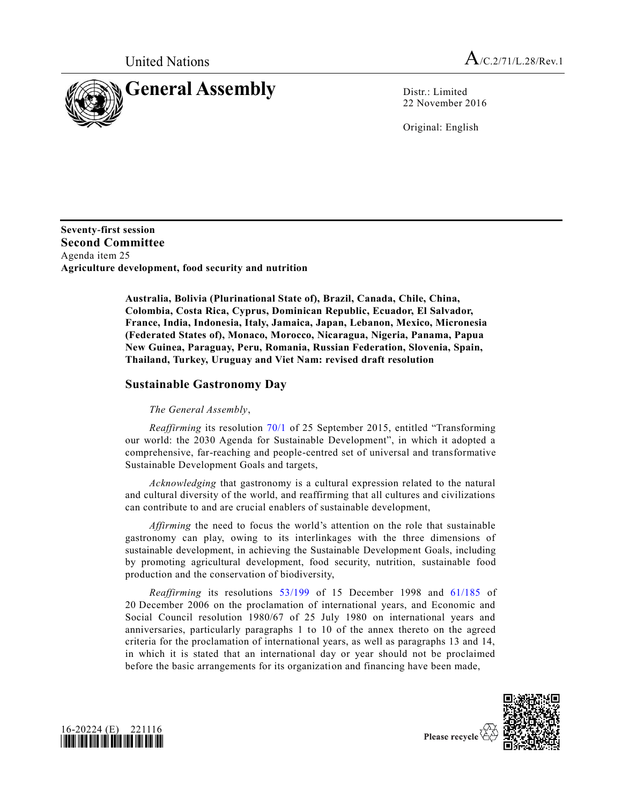

22 November 2016

Original: English

**Seventy-first session Second Committee** Agenda item 25 **Agriculture development, food security and nutrition**

> **Australia, Bolivia (Plurinational State of), Brazil, Canada, Chile, China, Colombia, Costa Rica, Cyprus, Dominican Republic, Ecuador, El Salvador, France, India, Indonesia, Italy, Jamaica, Japan, Lebanon, Mexico, Micronesia (Federated States of), Monaco, Morocco, Nicaragua, Nigeria, Panama, Papua New Guinea, Paraguay, Peru, Romania, Russian Federation, Slovenia, Spain, Thailand, Turkey, Uruguay and Viet Nam: revised draft resolution**

## **Sustainable Gastronomy Day**

*The General Assembly*,

*Reaffirming* its resolution [70/1](http://undocs.org/A/RES/70/1) of 25 September 2015, entitled "Transforming our world: the 2030 Agenda for Sustainable Development", in which it adopted a comprehensive, far-reaching and people-centred set of universal and transformative Sustainable Development Goals and targets,

*Acknowledging* that gastronomy is a cultural expression related to the natural and cultural diversity of the world, and reaffirming that all cultures and civilizations can contribute to and are crucial enablers of sustainable development,

*Affirming* the need to focus the world's attention on the role that sustainable gastronomy can play, owing to its interlinkages with the three dimensions of sustainable development, in achieving the Sustainable Development Goals, including by promoting agricultural development, food security, nutrition, sustainable food production and the conservation of biodiversity,

*Reaffirming* its resolutions [53/199](http://undocs.org/A/RES/53/199) of 15 December 1998 and [61/185](http://undocs.org/A/RES/61/185) of 20 December 2006 on the proclamation of international years, and Economic and Social Council resolution 1980/67 of 25 July 1980 on international years and anniversaries, particularly paragraphs 1 to 10 of the annex thereto on the agreed criteria for the proclamation of international years, as well as paragraphs 13 and 14, in which it is stated that an international day or year should not be proclaimed before the basic arrangements for its organization and financing have been made,





Please recycle